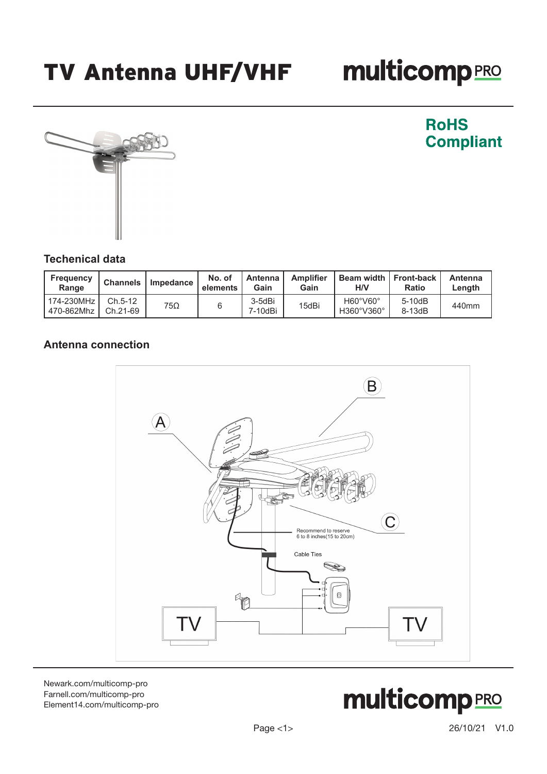# **multicomp**PRO



**RoHS Compliant** 

### **Techenical data**

| <b>Frequency</b><br>Range  | <b>Channels</b>     | Impedance | No. of<br>elements | Antenna<br>Gain   | <b>Amplifier</b><br>Gain | Beam width   Front-back<br><b>H/V</b> | Ratio              | Antenna<br>Length |
|----------------------------|---------------------|-----------|--------------------|-------------------|--------------------------|---------------------------------------|--------------------|-------------------|
| 174-230MHz<br>  470-862Mhz | Ch.5-12<br>Ch.21-69 | 75Ω       |                    | 3-5dBi<br>7-10dBi | 15dBi                    | H60°V60°<br>H360°V360°                | $5-10dB$<br>8-13dB | 440mm             |

#### **Antenna connection**



[Newark.com/multicomp-](https://www.newark.com/multicomp-pro)pro [Farnell.com/multicomp](https://www.farnell.com/multicomp-pro)-pro [Element14.com/multicomp-pro](https://element14.com/multicomp-pro)